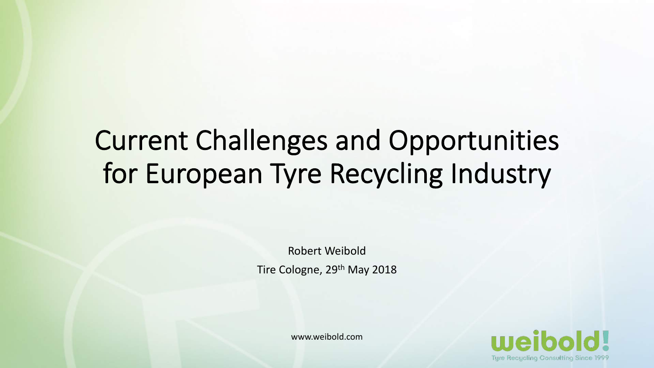# Current Challenges and Opportunities for European Tyre Recycling Industry

Robert Weibold Tire Cologne, 29th May 2018

www.weibold.com

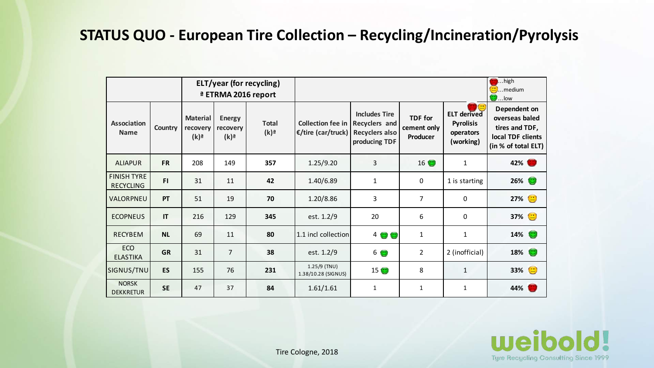#### **STATUS QUO - European Tire Collection – Recycling/Incineration/Pyrolysis**

|                                        |                | ELT/year (for recycling)<br><sup>a</sup> ETRMA 2016 report |                                                 |                                    |                                                                        |                                       |                                           |                                                                  | $\blacksquare$ high<br><b>External Company</b> control<br>$\bigcirc$ low                     |
|----------------------------------------|----------------|------------------------------------------------------------|-------------------------------------------------|------------------------------------|------------------------------------------------------------------------|---------------------------------------|-------------------------------------------|------------------------------------------------------------------|----------------------------------------------------------------------------------------------|
| <b>Association</b><br><b>Name</b>      | <b>Country</b> | <b>Material</b><br>recovery<br>$(k)$ <sup>a</sup>          | <b>Energy</b><br>recovery<br>$(k)$ <sup>a</sup> | <b>Total</b><br>$(k)$ <sup>a</sup> | Collection fee in Recyclers and<br>E/tire (car/truck)   Recyclers also | <b>Includes Tire</b><br>producing TDF | <b>TDF</b> for<br>cement only<br>Producer | <b>ELT derived</b><br><b>Pyrolisis</b><br>operators<br>(working) | Dependent on<br>overseas baled<br>tires and TDF,<br>local TDF clients<br>(in % of total ELT) |
| <b>ALIAPUR</b>                         | <b>FR</b>      | 208                                                        | 149                                             | 357                                | 1.25/9.20                                                              | 3                                     | 16                                        | $\mathbf{1}$                                                     | 42%                                                                                          |
| <b>FINISH TYRE</b><br><b>RECYCLING</b> | FI.            | 31                                                         | 11                                              | 42                                 | 1.40/6.89                                                              | 1                                     | 0                                         | 1 is starting                                                    | $26\%$                                                                                       |
| VALORPNEU                              | PT             | 51                                                         | 19                                              | 70                                 | 1.20/8.86                                                              | 3                                     | $\overline{7}$                            | $\Omega$                                                         | 27% ●                                                                                        |
| <b>ECOPNEUS</b>                        | $\mathsf{I}$   | 216                                                        | 129                                             | 345                                | est. 1.2/9                                                             | 20                                    | 6                                         | 0                                                                | 37% <mark>●</mark>                                                                           |
| <b>RECYBEM</b>                         | <b>NL</b>      | 69                                                         | 11                                              | 80                                 | 1.1 incl collection                                                    | 4 <sup>o</sup>                        | $\mathbf{1}$                              | $\mathbf{1}$                                                     | 14% <b>O</b>                                                                                 |
| <b>ECO</b><br><b>ELASTIKA</b>          | <b>GR</b>      | 31                                                         | $\overline{7}$                                  | 38                                 | est. 1.2/9                                                             | 60                                    | $\overline{2}$                            | 2 (inofficial)                                                   | 18% <b>O</b>                                                                                 |
| SIGNUS/TNU                             | <b>ES</b>      | 155                                                        | 76                                              | 231                                | $1.25/9$ (TNU)<br>1.38/10.28 (SIGNUS)                                  | 15 <sup>o</sup>                       | 8                                         | $\mathbf{1}$                                                     | 33% <mark>()</mark>                                                                          |
| <b>NORSK</b><br><b>DEKKRETUR</b>       | <b>SE</b>      | 47                                                         | 37                                              | 84                                 | 1.61/1.61                                                              | 1                                     | $\mathbf{1}$                              | $\mathbf{1}$                                                     | 44%                                                                                          |

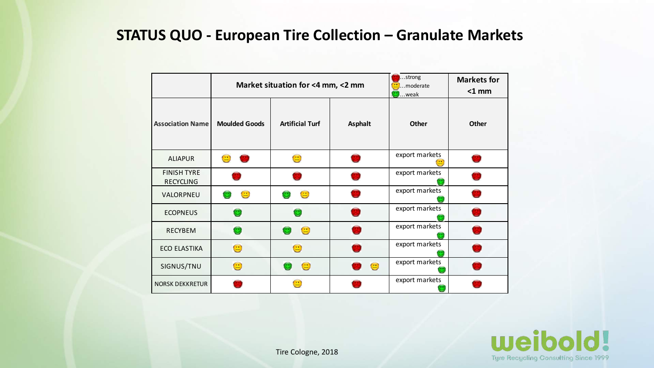#### **STATUS QUO - European Tire Collection – Granulate Markets**

|                                        |                                                                  | Market situation for <4 mm, <2 mm                                | strong<br>moderate<br>$\mathsf{L}$ .weak | <b>Markets for</b><br>$<$ 1 mm                                               |              |
|----------------------------------------|------------------------------------------------------------------|------------------------------------------------------------------|------------------------------------------|------------------------------------------------------------------------------|--------------|
| <b>Association Name</b>                | <b>Moulded Goods</b>                                             | <b>Artificial Turf</b>                                           | <b>Asphalt</b>                           | Other                                                                        | <b>Other</b> |
| <b>ALIAPUR</b>                         | $\left( \begin{array}{c} \bullet \\ \bullet \end{array} \right)$ | $\bigcirc$                                                       |                                          | export markets<br>$\left( \begin{array}{c} \blacksquare \end{array} \right)$ |              |
| <b>FINISH TYRE</b><br><b>RECYCLING</b> |                                                                  |                                                                  |                                          | export markets                                                               |              |
| VALORPNEU                              | $\bigcirc$                                                       | $\bigcirc$                                                       |                                          | export markets                                                               |              |
| <b>ECOPNEUS</b>                        | œ                                                                | œ                                                                |                                          | export markets                                                               |              |
| <b>RECYBEM</b>                         | $\bullet$                                                        | $\bigcirc$<br>$\bullet$                                          |                                          | export markets                                                               |              |
| <b>ECO ELASTIKA</b>                    | $\bigodot$                                                       | $\bigcirc$                                                       |                                          | export markets                                                               |              |
| SIGNUS/TNU                             | $\bigodot$                                                       | $\odot$                                                          | $\bigcirc$                               | export markets                                                               |              |
| <b>NORSK DEKKRETUR</b>                 |                                                                  | $\left( \begin{array}{c} \bullet \\ \bullet \end{array} \right)$ |                                          | export markets                                                               |              |

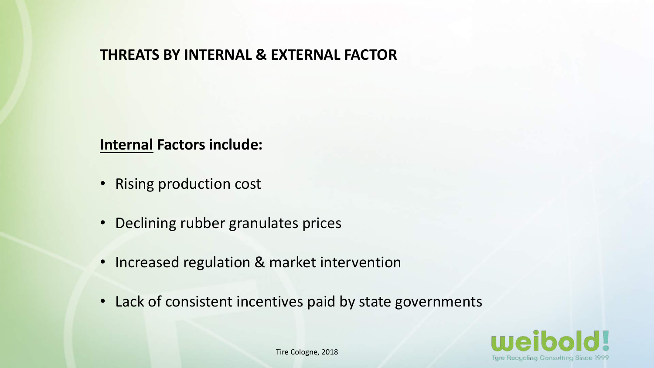#### **THREATS BY INTERNAL & EXTERNAL FACTOR**

#### **Internal Factors include:**

- Rising production cost
- Declining rubber granulates prices
- Increased regulation & market intervention
- Lack of consistent incentives paid by state governments

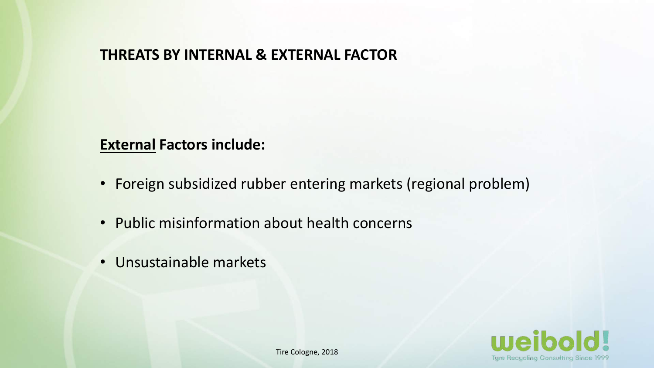#### **THREATS BY INTERNAL & EXTERNAL FACTOR**

#### **External Factors include:**

- Foreign subsidized rubber entering markets (regional problem)
- Public misinformation about health concerns
- Unsustainable markets

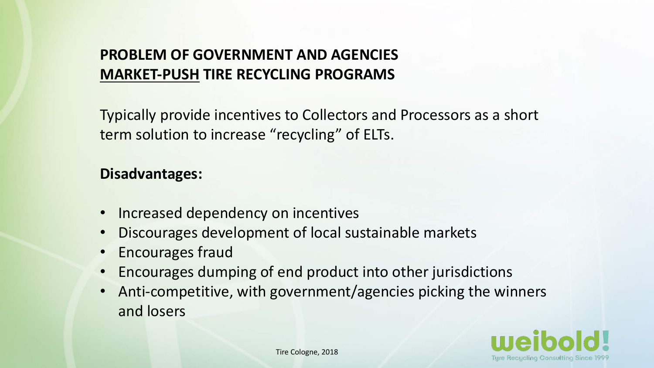# **PROBLEM OF GOVERNMENT AND AGENCIES MARKET-PUSH TIRE RECYCLING PROGRAMS**

Typically provide incentives to Collectors and Processors as a short term solution to increase "recycling" of ELTs.

#### **Disadvantages:**

- Increased dependency on incentives
- Discourages development of local sustainable markets
- Encourages fraud
- Encourages dumping of end product into other jurisdictions
- Anti-competitive, with government/agencies picking the winners and losers

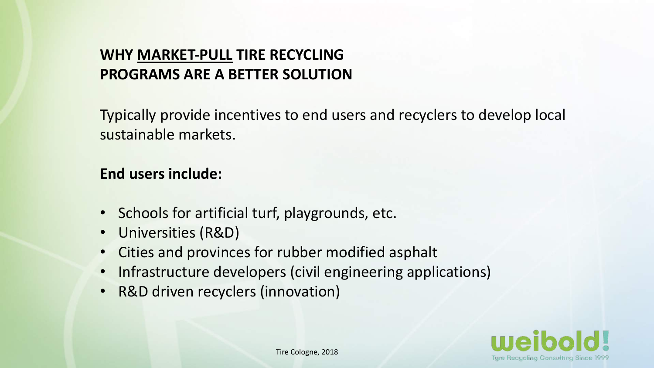### **WHY MARKET-PULL TIRE RECYCLING PROGRAMS ARE A BETTER SOLUTION**

Typically provide incentives to end users and recyclers to develop local sustainable markets.

#### **End users include:**

- Schools for artificial turf, playgrounds, etc.
- Universities (R&D)
- Cities and provinces for rubber modified asphalt
- Infrastructure developers (civil engineering applications)
- R&D driven recyclers (innovation)

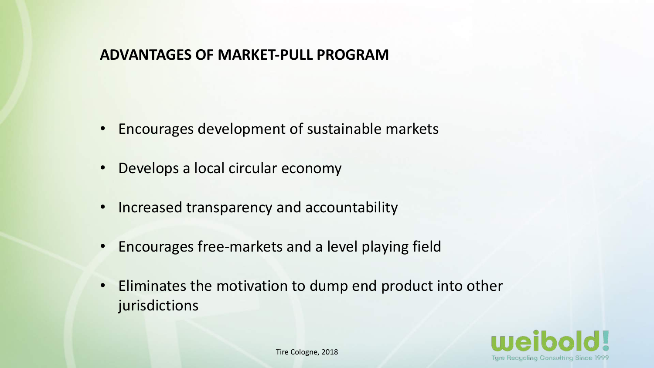#### **ADVANTAGES OF MARKET-PULL PROGRAM**

- Encourages development of sustainable markets
- Develops a local circular economy
- Increased transparency and accountability
- Encourages free-markets and a level playing field
- Eliminates the motivation to dump end product into other jurisdictions

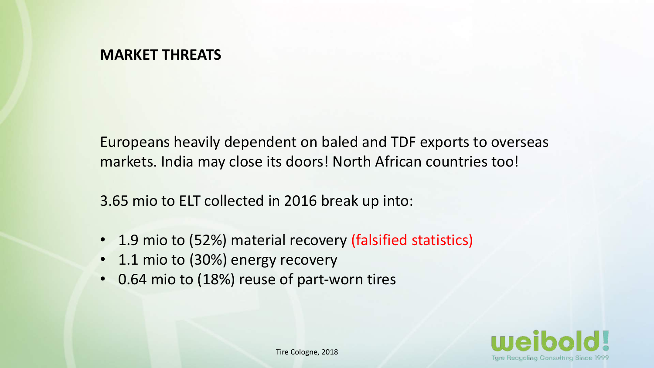#### **MARKET THREATS**

Europeans heavily dependent on baled and TDF exports to overseas markets. India may close its doors! North African countries too!

3.65 mio to ELT collected in 2016 break up into:

- 1.9 mio to (52%) material recovery (falsified statistics)
- 1.1 mio to (30%) energy recovery
- 0.64 mio to (18%) reuse of part-worn tires

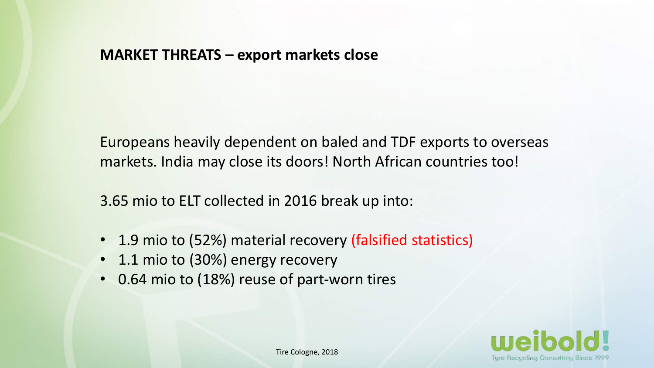#### **MARKET THREATS – export markets close**

Europeans heavily dependent on baled and TDF exports to overseas markets. India may close its doors! North African countries too!

3.65 mio to ELT collected in 2016 break up into:

- 1.9 mio to (52%) material recovery (falsified statistics)
- 1.1 mio to (30%) energy recovery
- 0.64 mio to (18%) reuse of part-worn tires

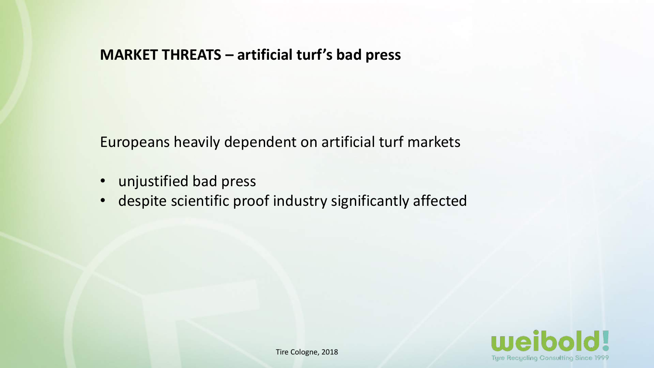#### **MARKET THREATS – artificial turf's bad press**

Europeans heavily dependent on artificial turf markets

- unjustified bad press
- despite scientific proof industry significantly affected

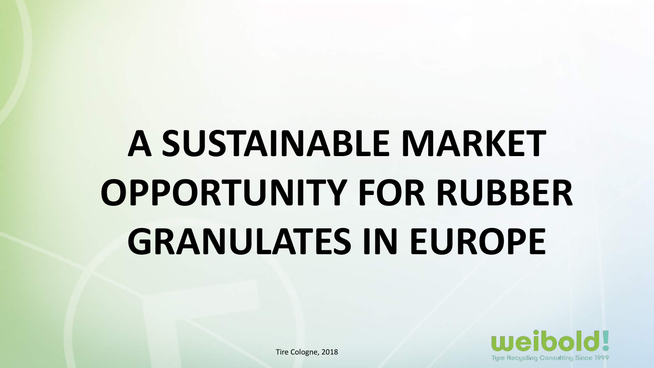# **A SUSTAINABLE MARKET OPPORTUNITY FOR RUBBER GRANULATES IN EUROPE**

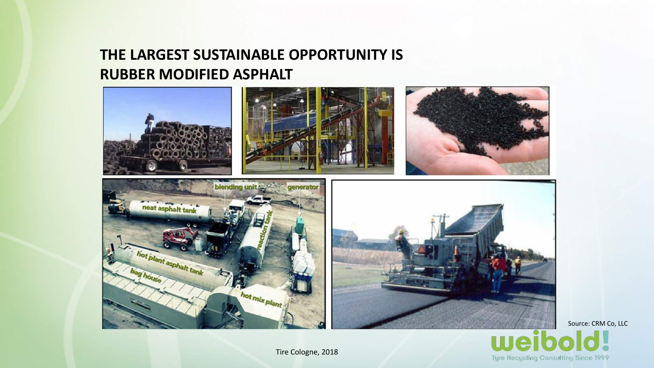## **THE LARGEST SUSTAINABLE OPPORTUNITY IS RUBBER MODIFIED ASPHALT**





Source: CRM Co, LLC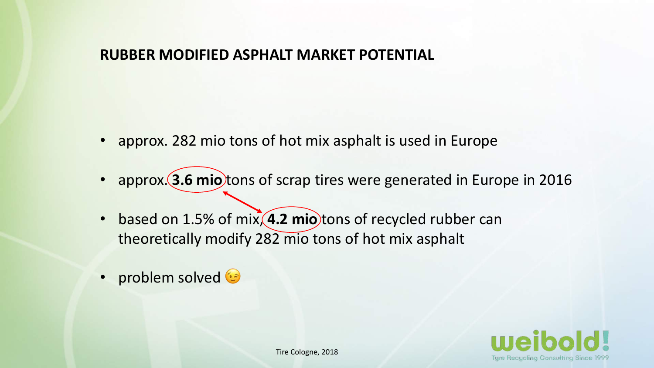#### **RUBBER MODIFIED ASPHALT MARKET POTENTIAL**

- approx. 282 mio tons of hot mix asphalt is used in Europe
- approx. (3.6 mio tons of scrap tires were generated in Europe in 2016
- based on 1.5% of mix, **4.2 mio** tons of recycled rubber can theoretically modify 282 mio tons of hot mix asphalt
- problem solved

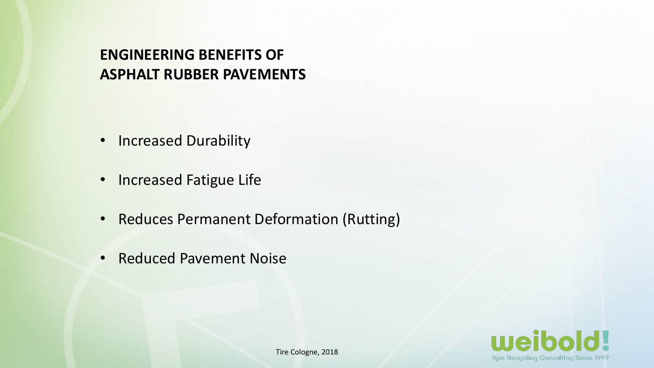# **ENGINEERING BENEFITS OF ASPHALT RUBBER PAVEMENTS**

- Increased Durability
- Increased Fatigue Life
- Reduces Permanent Deformation (Rutting)
- Reduced Pavement Noise

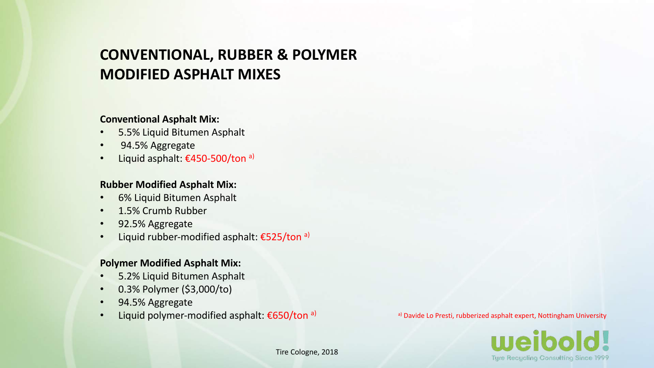## **CONVENTIONAL, RUBBER & POLYMER MODIFIED ASPHALT MIXES**

#### **Conventional Asphalt Mix:**

- 5.5% Liquid Bitumen Asphalt
- 94.5% Aggregate
- Liquid asphalt:  $£450-500/t$ on a)

#### **Rubber Modified Asphalt Mix:**

- 6% Liquid Bitumen Asphalt
- 1.5% Crumb Rubber
- 92.5% Aggregate
- Liquid rubber-modified asphalt: €525/ton a)

#### **Polymer Modified Asphalt Mix:**

- 5.2% Liquid Bitumen Asphalt
- 0.3% Polymer (\$3,000/to)
- 94.5% Aggregate
- Liquid polymer-modified asphalt:  $\epsilon$ 650/ton a)

a) Davide Lo Presti, rubberized asphalt expert, Nottingham University

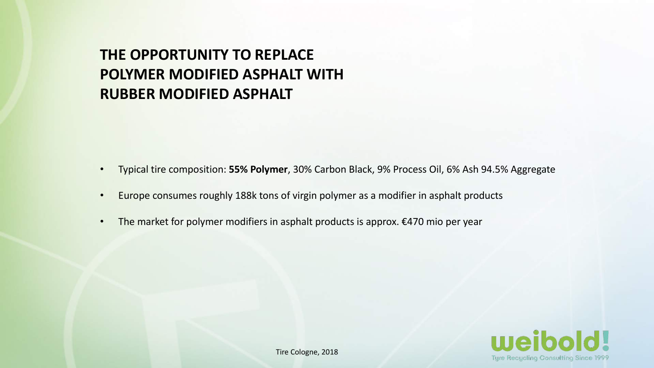## **THE OPPORTUNITY TO REPLACE POLYMER MODIFIED ASPHALT WITH RUBBER MODIFIED ASPHALT**

- Typical tire composition: **55% Polymer**, 30% Carbon Black, 9% Process Oil, 6% Ash 94.5% Aggregate
- Europe consumes roughly 188k tons of virgin polymer as a modifier in asphalt products
- The market for polymer modifiers in asphalt products is approx. €470 mio per year

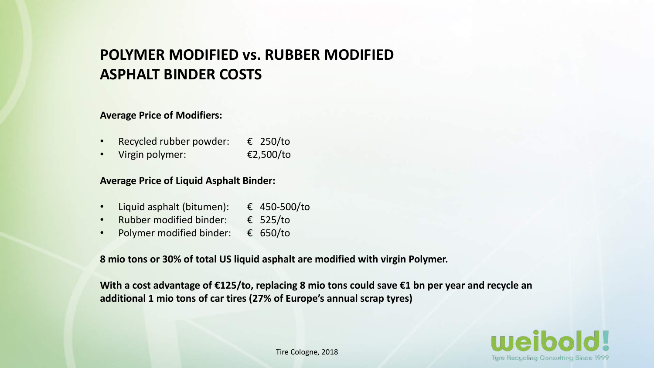#### **POLYMER MODIFIED vs. RUBBER MODIFIED ASPHALT BINDER COSTS**

#### **Average Price of Modifiers:**

- Recycled rubber powder:  $\epsilon$  250/to
- Virgin polymer: €2,500/to

#### **Average Price of Liquid Asphalt Binder:**

- Liquid asphalt (bitumen): € 450-500/to
- Rubber modified binder: € 525/to
- Polymer modified binder: € 650/to

**8 mio tons or 30% of total US liquid asphalt are modified with virgin Polymer.** 

**With a cost advantage of €125/to, replacing 8 mio tons could save €1 bn per year and recycle an additional 1 mio tons of car tires (27% of Europe's annual scrap tyres)**

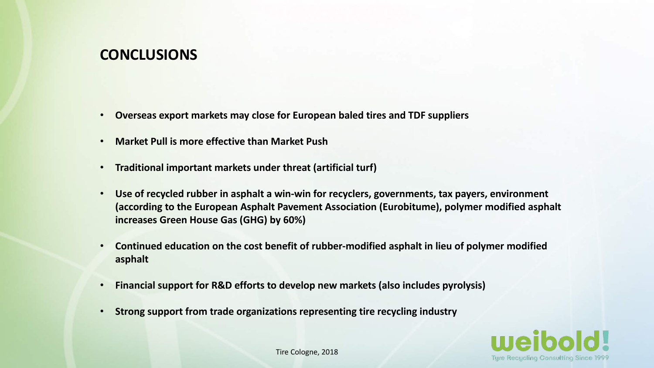#### **CONCLUSIONS**

- **Overseas export markets may close for European baled tires and TDF suppliers**
- **Market Pull is more effective than Market Push**
- **Traditional important markets under threat (artificial turf)**
- **Use of recycled rubber in asphalt a win-win for recyclers, governments, tax payers, environment (according to the European Asphalt Pavement Association (Eurobitume), polymer modified asphalt increases Green House Gas (GHG) by 60%)**
- **Continued education on the cost benefit of rubber-modified asphalt in lieu of polymer modified asphalt**
- **Financial support for R&D efforts to develop new markets (also includes pyrolysis)**
- **Strong support from trade organizations representing tire recycling industry**

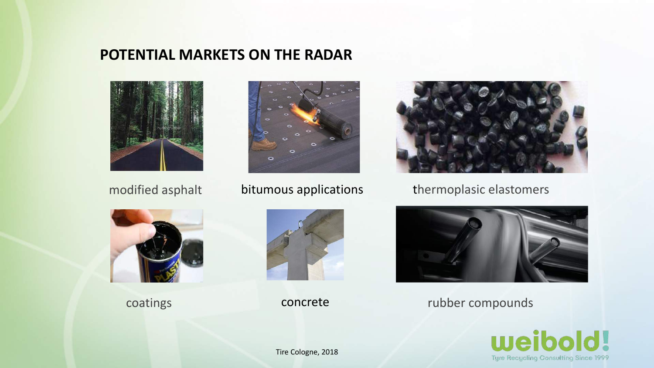#### **POTENTIAL MARKETS ON THE RADAR**





#### bitumous applications



modified asphalt bitumous applications thermoplasic elastomers





concrete



coatings concrete compounds concrete compounds

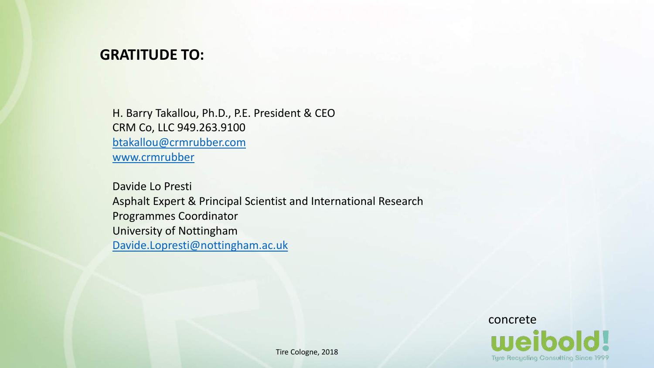#### **GRATITUDE TO:**

H. Barry Takallou, Ph.D., P.E. President & CEO CRM Co, LLC 949.263.9100 [btakallou@crmrubber.com](mailto:btakallou@crmrubber.com) [www.crmrubber](http://www.crmrubber/)

Davide Lo Presti Asphalt Expert & Principal Scientist and International Research Programmes Coordinator University of Nottingham [Davide.Lopresti@nottingham.ac.uk](mailto:Davide.Lopresti@nottingham.ac.uk)

> concrete **Tyre Recycling Consulting Since 1999**